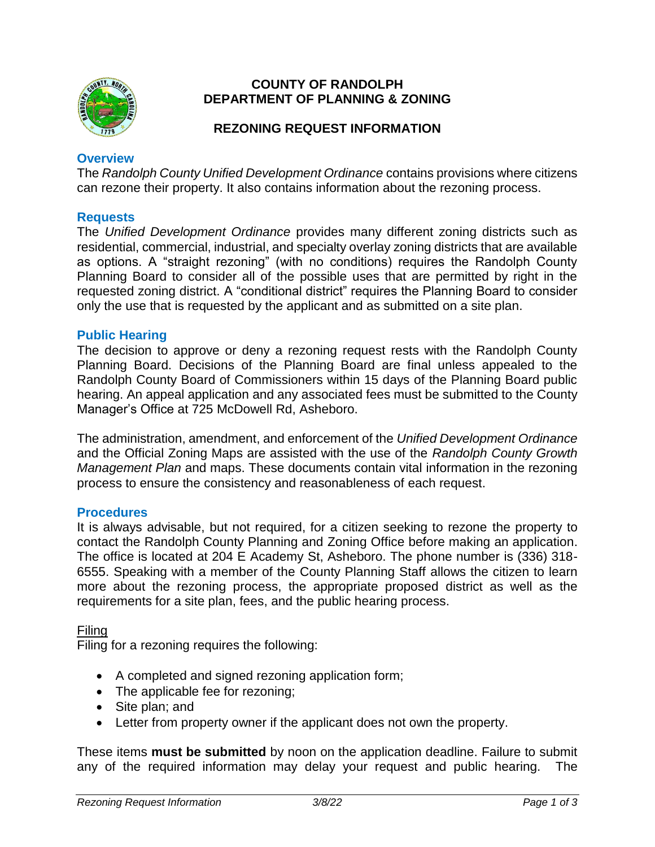

### **COUNTY OF RANDOLPH DEPARTMENT OF PLANNING & ZONING**

# **REZONING REQUEST INFORMATION**

### **Overview**

The *Randolph County Unified Development Ordinance* contains provisions where citizens can rezone their property. It also contains information about the rezoning process.

### **Requests**

The *Unified Development Ordinance* provides many different zoning districts such as residential, commercial, industrial, and specialty overlay zoning districts that are available as options. A "straight rezoning" (with no conditions) requires the Randolph County Planning Board to consider all of the possible uses that are permitted by right in the requested zoning district. A "conditional district" requires the Planning Board to consider only the use that is requested by the applicant and as submitted on a site plan.

### **Public Hearing**

The decision to approve or deny a rezoning request rests with the Randolph County Planning Board. Decisions of the Planning Board are final unless appealed to the Randolph County Board of Commissioners within 15 days of the Planning Board public hearing. An appeal application and any associated fees must be submitted to the County Manager's Office at 725 McDowell Rd, Asheboro.

The administration, amendment, and enforcement of the *Unified Development Ordinance* and the Official Zoning Maps are assisted with the use of the *Randolph County Growth Management Plan* and maps. These documents contain vital information in the rezoning process to ensure the consistency and reasonableness of each request.

### **Procedures**

It is always advisable, but not required, for a citizen seeking to rezone the property to contact the Randolph County Planning and Zoning Office before making an application. The office is located at 204 E Academy St, Asheboro. The phone number is (336) 318- 6555. Speaking with a member of the County Planning Staff allows the citizen to learn more about the rezoning process, the appropriate proposed district as well as the requirements for a site plan, fees, and the public hearing process.

### Filing

Filing for a rezoning requires the following:

- A completed and signed rezoning application form;
- The applicable fee for rezoning;
- Site plan: and
- Letter from property owner if the applicant does not own the property.

These items **must be submitted** by noon on the application deadline. Failure to submit any of the required information may delay your request and public hearing. The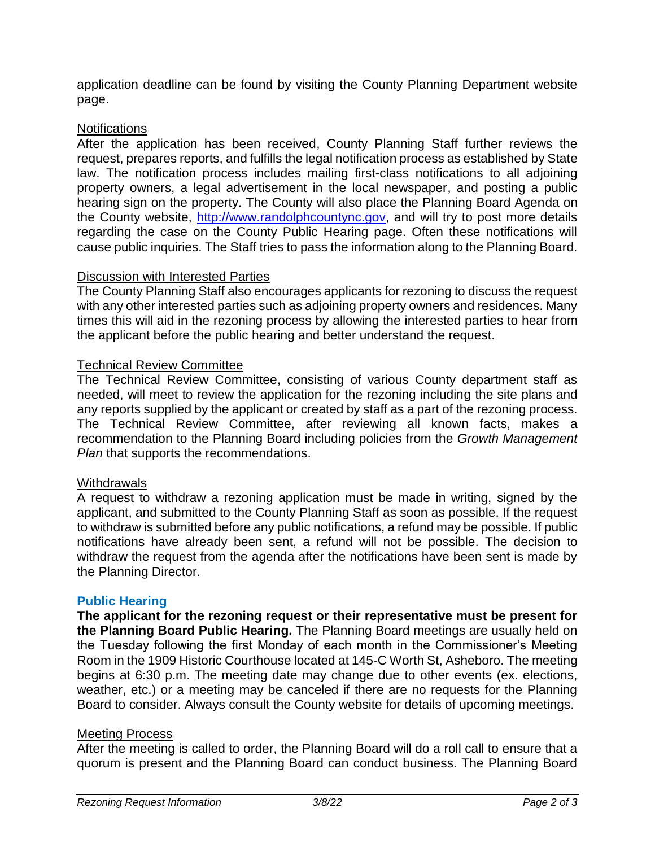application deadline can be found by visiting the County Planning Department website page.

# **Notifications**

After the application has been received, County Planning Staff further reviews the request, prepares reports, and fulfills the legal notification process as established by State law. The notification process includes mailing first-class notifications to all adjoining property owners, a legal advertisement in the local newspaper, and posting a public hearing sign on the property. The County will also place the Planning Board Agenda on the County website, [http://www.randolphcountync.gov,](http://www.randolphcountync.gov/) and will try to post more details regarding the case on the County Public Hearing page. Often these notifications will cause public inquiries. The Staff tries to pass the information along to the Planning Board.

### Discussion with Interested Parties

The County Planning Staff also encourages applicants for rezoning to discuss the request with any other interested parties such as adjoining property owners and residences. Many times this will aid in the rezoning process by allowing the interested parties to hear from the applicant before the public hearing and better understand the request.

# Technical Review Committee

The Technical Review Committee, consisting of various County department staff as needed, will meet to review the application for the rezoning including the site plans and any reports supplied by the applicant or created by staff as a part of the rezoning process. The Technical Review Committee, after reviewing all known facts, makes a recommendation to the Planning Board including policies from the *Growth Management Plan* that supports the recommendations.

### Withdrawals

A request to withdraw a rezoning application must be made in writing, signed by the applicant, and submitted to the County Planning Staff as soon as possible. If the request to withdraw is submitted before any public notifications, a refund may be possible. If public notifications have already been sent, a refund will not be possible. The decision to withdraw the request from the agenda after the notifications have been sent is made by the Planning Director.

### **Public Hearing**

**The applicant for the rezoning request or their representative must be present for the Planning Board Public Hearing.** The Planning Board meetings are usually held on the Tuesday following the first Monday of each month in the Commissioner's Meeting Room in the 1909 Historic Courthouse located at 145-C Worth St, Asheboro. The meeting begins at 6:30 p.m. The meeting date may change due to other events (ex. elections, weather, etc.) or a meeting may be canceled if there are no requests for the Planning Board to consider. Always consult the County website for details of upcoming meetings.

### Meeting Process

After the meeting is called to order, the Planning Board will do a roll call to ensure that a quorum is present and the Planning Board can conduct business. The Planning Board